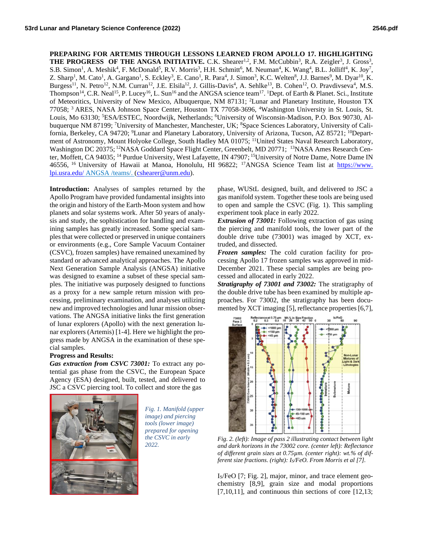**PREPARING FOR ARTEMIS THROUGH LESSONS LEARNED FROM APOLLO 17. HIGHLIGHTING THE PROGRESS OF THE ANGSA INITIATIVE.** C.K. Shearer<sup>1,2</sup>, F.M. McCubbin<sup>3</sup>, R.A. Zeigler<sup>3</sup>, J. Gross<sup>3</sup>, S.B. Simon<sup>1</sup>, A. Meshik<sup>4</sup>, F. McDonald<sup>5</sup>, R.V. Morris<sup>3</sup>, H.H. Schmitt<sup>6</sup>, M. Neuman<sup>4</sup>, K. Wang<sup>4</sup>, B.L. Jolliff<sup>4</sup>, K. Joy<sup>7</sup>, Z. Sharp<sup>1</sup>, M. Cato<sup>1</sup>, A. Gargano<sup>1</sup>, S. Eckley<sup>3</sup>, E. Cano<sup>1</sup>, R. Para<sup>4</sup>, J. Simon<sup>3</sup>, K.C. Welten<sup>8</sup>, J.J. Barnes<sup>9</sup>, M. Dyar<sup>10</sup>, K. Burgess<sup>11</sup>, N. Petro<sup>12</sup>, N.M. Curran<sup>12</sup>, J.E. Elsila<sup>12</sup>, J. Gillis-Davis<sup>4</sup>, A. Sehlke<sup>13</sup>, B. Cohen<sup>12</sup>, O. Pravdivseva<sup>4</sup>, M.S. Thompson<sup>14</sup>, C.R. Neal<sup>15</sup>, P. Lucey<sup>16</sup>, L. Sun<sup>16</sup> and the ANGSA science team<sup>17</sup>. <sup>1</sup>Dept. of Earth & Planet. Sci., Institute of Meteoritics, University of New Mexico, Albuquerque, NM 87131; <sup>2</sup>Lunar and Planetary Institute, Houston TX 77058; <sup>3</sup>ARES, NASA Johnson Space Center, Houston TX 77058-3696, <sup>4</sup>Washington University in St. Louis, St. Louis, Mo 63130; <sup>5</sup>ESA/ESTEC, Noordwijk, Netherlands; <sup>6</sup>University of Wisconsin-Madison, P.O. Box 90730, Albuquerque NM 87199; <sup>7</sup>University of Manchester, Manchester, UK; <sup>8</sup>Space Sciences Laboratory, University of California, Berkeley, CA 94720; <sup>9</sup>Lunar and Planetary Laboratory, University of Arizona, Tucson, AZ 85721; <sup>10</sup>Department of Astronomy, Mount Holyoke College, South Hadley MA 01075; <sup>11</sup>United States Naval Research Laboratory, Washington DC 20375; <sup>12</sup>NASA Goddard Space Flight Center, Greenbelt, MD 20771; <sup>13</sup>NASA Ames Research Center, Moffett, CA 94035; <sup>14</sup> Purdue University, West Lafayette, IN 47907; <sup>15</sup>University of Notre Dame, Notre Dame IN 46556, <sup>16</sup> University of Hawaii at Manoa, Honolulu, HI 96822; <sup>17</sup>ANGSA Science Team list at https://www. lpi.usra.edu/ ANGSA /teams/. [\(cshearer@unm.edu\)](mailto:cshearer@unm.edu).

**Introduction:** Analyses of samples returned by the Apollo Program have provided fundamental insights into the origin and history of the Earth-Moon system and how planets and solar systems work. After 50 years of analysis and study, the sophistication for handling and examining samples has greatly increased. Some special samples that were collected or preserved in unique containers or environments (e.g., Core Sample Vacuum Container (CSVC), frozen samples) have remained unexamined by standard or advanced analytical approaches. The Apollo Next Generation Sample Analysis (ANGSA) initiative was designed to examine a subset of these special samples. The initiative was purposely designed to functions as a proxy for a new sample return mission with processing, preliminary examination, and analyses utilizing new and improved technologies and lunar mission observations. The ANGSA initiative links the first generation of lunar explorers (Apollo) with the next generation lunar explorers (Artemis) [1-4]. Here we highlight the progress made by ANGSA in the examination of these special samples.

## **Progress and Results:**

*Gas extraction from CSVC 73001:* To extract any potential gas phase from the CSVC, the European Space Agency (ESA) designed, built, tested, and delivered to JSC a CSVC piercing tool. To collect and store the gas



*Fig. 1. Manifold (upper image) and piercing tools (lower image) prepared for opening the CSVC in early 2022.*

phase, WUStL designed, built, and delivered to JSC a gas manifold system. Together these tools are being used to open and sample the CSVC (Fig. 1). This sampling experiment took place in early 2022.

*Extrusion of 73001:* Following extraction of gas using the piercing and manifold tools, the lower part of the double drive tube (73001) was imaged by XCT, extruded, and dissected.

*Frozen samples:* The cold curation facility for processing Apollo 17 frozen samples was approved in mid-December 2021. These special samples are being processed and allocated in early 2022.

*Stratigraphy of 73001 and 73002:* The stratigraphy of the double drive tube has been examined by multiple approaches. For 73002, the stratigraphy has been documented by XCT imaging [5], reflectance properties [6,7],



*Fig. 2. (left): Image of pass 2 illustrating contact between light and dark horizons in the 73002 core. (center left): Reflectance of different grain sizes at 0.75µm. (center right): wt.% of different size fractions. (right): IS/FeO. From Morris et al [7].*

IS/FeO [7; Fig. 2], major, minor, and trace element geochemistry [8,9], grain size and modal proportions  $[7,10,11]$ , and continuous thin sections of core  $[12,13]$ ;